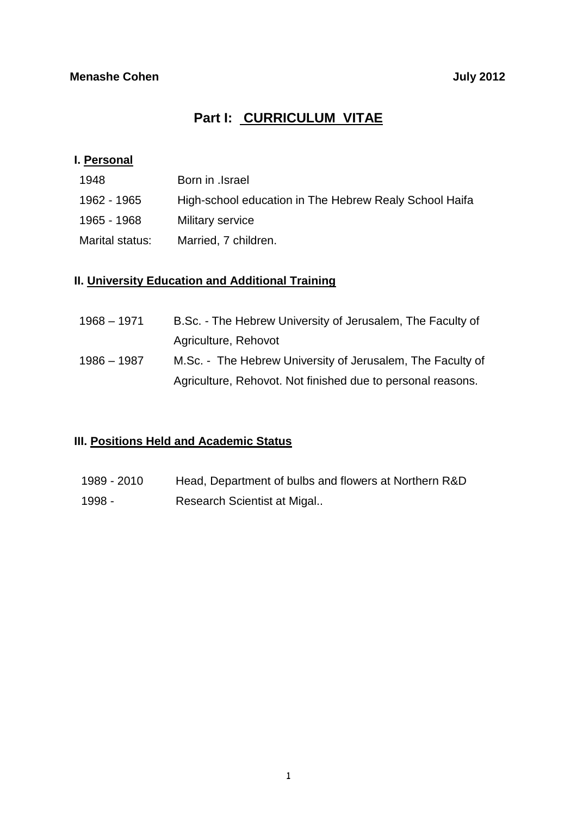# **Part I: CURRICULUM VITAE**

### **I. Personal**

| 1948            | Born in .Israel                                        |
|-----------------|--------------------------------------------------------|
| 1962 - 1965     | High-school education in The Hebrew Realy School Haifa |
| 1965 - 1968     | Military service                                       |
| Marital status: | Married, 7 children.                                   |

### **II. University Education and Additional Training**

| $1968 - 1971$ | B.Sc. - The Hebrew University of Jerusalem, The Faculty of  |
|---------------|-------------------------------------------------------------|
|               | Agriculture, Rehovot                                        |
| 1986 – 1987   | M.Sc. - The Hebrew University of Jerusalem, The Faculty of  |
|               | Agriculture, Rehovot. Not finished due to personal reasons. |

## **III. Positions Held and Academic Status**

1989 - 2010 Head, Department of bulbs and flowers at Northern R&D 1998 - Research Scientist at Migal..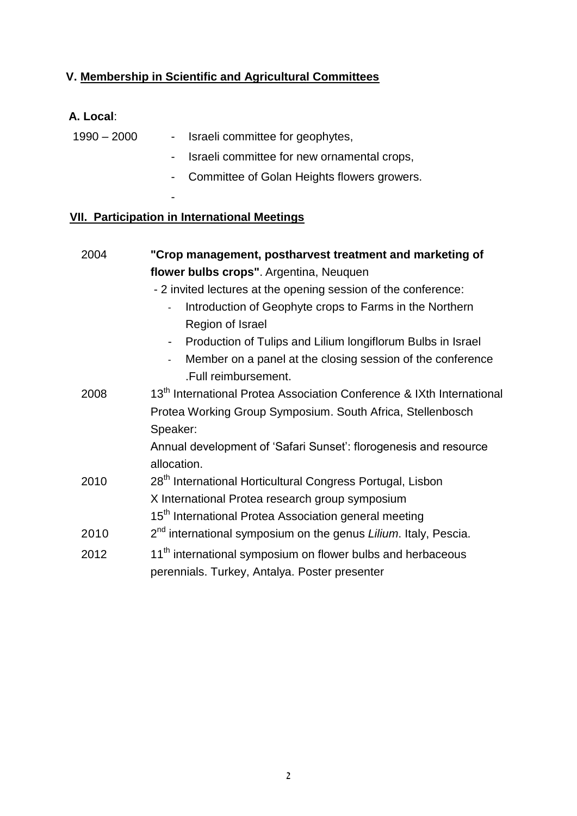# **V. Membership in Scientific and Agricultural Committees**

# **A. Local**:

| $1990 - 2000$ | - Israeli committee for geophytes,            |
|---------------|-----------------------------------------------|
|               | - Israeli committee for new ornamental crops, |
|               | - Committee of Golan Heights flowers growers. |

## **VII. Participation in International Meetings**

-

| 2004 | "Crop management, postharvest treatment and marketing of                          |  |  |  |
|------|-----------------------------------------------------------------------------------|--|--|--|
|      | flower bulbs crops". Argentina, Neuquen                                           |  |  |  |
|      | - 2 invited lectures at the opening session of the conference:                    |  |  |  |
|      | Introduction of Geophyte crops to Farms in the Northern                           |  |  |  |
|      | Region of Israel                                                                  |  |  |  |
|      | Production of Tulips and Lilium longiflorum Bulbs in Israel                       |  |  |  |
|      | Member on a panel at the closing session of the conference                        |  |  |  |
|      | .Full reimbursement.                                                              |  |  |  |
| 2008 | 13 <sup>th</sup> International Protea Association Conference & IXth International |  |  |  |
|      | Protea Working Group Symposium. South Africa, Stellenbosch                        |  |  |  |
|      | Speaker:                                                                          |  |  |  |
|      | Annual development of 'Safari Sunset': florogenesis and resource                  |  |  |  |
|      | allocation.                                                                       |  |  |  |
| 2010 | 28 <sup>th</sup> International Horticultural Congress Portugal, Lisbon            |  |  |  |
|      | X International Protea research group symposium                                   |  |  |  |
|      | 15 <sup>th</sup> International Protea Association general meeting                 |  |  |  |
| 2010 | 2 <sup>nd</sup> international symposium on the genus Lilium. Italy, Pescia.       |  |  |  |
| 2012 | 11 <sup>th</sup> international symposium on flower bulbs and herbaceous           |  |  |  |
|      | perennials. Turkey, Antalya. Poster presenter                                     |  |  |  |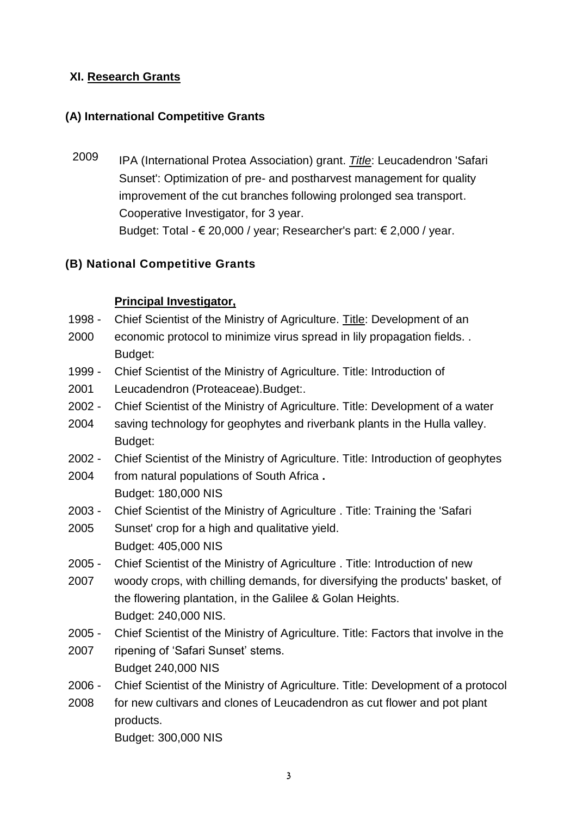### **XI. Research Grants**

### **(A) International Competitive Grants**

2009 IPA (International Protea Association) grant. *Title*: Leucadendron 'Safari Sunset': Optimization of pre- and postharvest management for quality improvement of the cut branches following prolonged sea transport. Cooperative Investigator, for 3 year. Budget: Total -  $\epsilon$  20,000 / year; Researcher's part:  $\epsilon$  2,000 / year.

## **(B) National Competitive Grants**

### **Principal Investigator,**

- 1998 Chief Scientist of the Ministry of Agriculture. Title: Development of an
- 2000 economic protocol to minimize virus spread in lily propagation fields. . Budget:
- 1999 Chief Scientist of the Ministry of Agriculture. Title: Introduction of
- 2001 Leucadendron (Proteaceae).Budget:.
- 2002 Chief Scientist of the Ministry of Agriculture. Title: Development of a water
- 2004 saving technology for geophytes and riverbank plants in the Hulla valley. Budget:
- 2002 2004 Chief Scientist of the Ministry of Agriculture. Title: Introduction of geophytes from natural populations of South Africa **.**

Budget: 180,000 NIS

- 2003 Chief Scientist of the Ministry of Agriculture . Title: Training the 'Safari
- 2005 Sunset' crop for a high and qualitative yield. Budget: 405,000 NIS
- 2005 Chief Scientist of the Ministry of Agriculture . Title: Introduction of new
- 2007 woody crops, with chilling demands, for diversifying the products' basket, of the flowering plantation, in the Galilee & Golan Heights. Budget: 240,000 NIS.
- 2005 Chief Scientist of the Ministry of Agriculture. Title: Factors that involve in the
- 2007 ripening of 'Safari Sunset' stems. Budget 240,000 NIS
- 2006 Chief Scientist of the Ministry of Agriculture. Title: Development of a protocol
- 2008 for new cultivars and clones of Leucadendron as cut flower and pot plant products. Budget: 300,000 NIS

3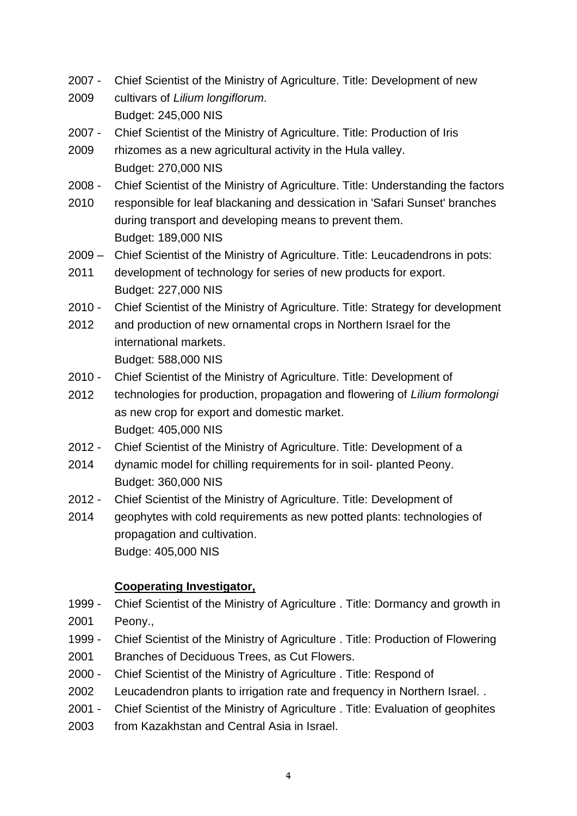- 2007 Chief Scientist of the Ministry of Agriculture. Title: Development of new
- 2009 cultivars of *Lilium longiflorum*. Budget: 245,000 NIS
- 2007 Chief Scientist of the Ministry of Agriculture. Title: Production of Iris
- 2009 rhizomes as a new agricultural activity in the Hula valley. Budget: 270,000 NIS
- 2008 Chief Scientist of the Ministry of Agriculture. Title: Understanding the factors
- 2010 responsible for leaf blackaning and dessication in 'Safari Sunset' branches during transport and developing means to prevent them. Budget: 189,000 NIS
- $2009 -$ Chief Scientist of the Ministry of Agriculture. Title: Leucadendrons in pots:
- 2011 development of technology for series of new products for export. Budget: 227,000 NIS
- $2010 -$ Chief Scientist of the Ministry of Agriculture. Title: Strategy for development
- 2012 and production of new ornamental crops in Northern Israel for the international markets. Budget: 588,000 NIS
- $2010 -$ Chief Scientist of the Ministry of Agriculture. Title: Development of
- 2012 technologies for production, propagation and flowering of *Lilium formolongi* as new crop for export and domestic market. Budget: 405,000 NIS
- $2012 -$ Chief Scientist of the Ministry of Agriculture. Title: Development of a
- 2014 dynamic model for chilling requirements for in soil- planted Peony. Budget: 360,000 NIS
- $2012 -$ Chief Scientist of the Ministry of Agriculture. Title: Development of
- 2014 geophytes with cold requirements as new potted plants: technologies of propagation and cultivation. Budge: 405,000 NIS

### **Cooperating Investigator,**

- 1999 2001 Chief Scientist of the Ministry of Agriculture . Title: Dormancy and growth in Peony.,
- 1999 Chief Scientist of the Ministry of Agriculture . Title: Production of Flowering
- 2001 Branches of Deciduous Trees, as Cut Flowers.
- 2000 Chief Scientist of the Ministry of Agriculture . Title: Respond of
- 2002 Leucadendron plants to irrigation rate and frequency in Northern Israel. .
- 2001 Chief Scientist of the Ministry of Agriculture . Title: Evaluation of geophites
- 2003 from Kazakhstan and Central Asia in Israel.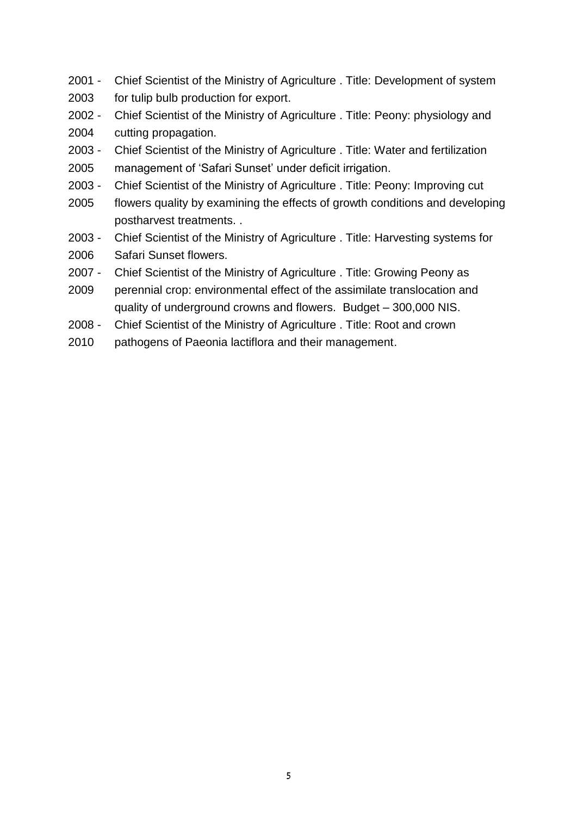- 2001 Chief Scientist of the Ministry of Agriculture . Title: Development of system
- 2003 for tulip bulb production for export.
- 2002 Chief Scientist of the Ministry of Agriculture . Title: Peony: physiology and
- 2004 cutting propagation.
- 2003 Chief Scientist of the Ministry of Agriculture . Title: Water and fertilization
- 2005 management of 'Safari Sunset' under deficit irrigation.
- 2003 Chief Scientist of the Ministry of Agriculture . Title: Peony: Improving cut
- 2005 flowers quality by examining the effects of growth conditions and developing postharvest treatments. .
- 2003 2006 Chief Scientist of the Ministry of Agriculture . Title: Harvesting systems for Safari Sunset flowers.
- 2007 Chief Scientist of the Ministry of Agriculture . Title: Growing Peony as
- 2009 perennial crop: environmental effect of the assimilate translocation and quality of underground crowns and flowers. Budget – 300,000 NIS.
- 2008 Chief Scientist of the Ministry of Agriculture . Title: Root and crown
- 2010 pathogens of Paeonia lactiflora and their management.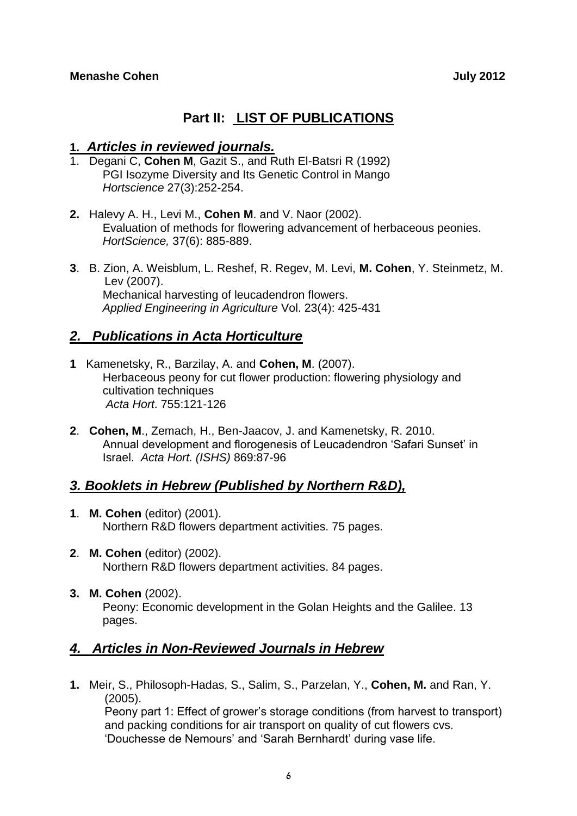# **Part II: LIST OF PUBLICATIONS**

### **1.** *Articles in reviewed journals.*

- 1. Degani C, **Cohen M**, Gazit S., and Ruth El-Batsri R (1992) PGI Isozyme Diversity and Its Genetic Control in Mango *Hortscience* 27(3):252-254.
- **2.** Halevy A. H., Levi M., **Cohen M**. and V. Naor (2002). Evaluation of methods for flowering advancement of herbaceous peonies. *HortScience,* 37(6): 885-889.
- **3**. B. Zion, A. Weisblum, L. Reshef, R. Regev, M. Levi, **M. Cohen**, Y. Steinmetz, M. Lev (2007). Mechanical harvesting of leucadendron flowers. *Applied Engineering in Agriculture* Vol. 23(4): 425-431

# *2. Publications in Acta Horticulture*

- **1** Kamenetsky, R., Barzilay, A. and **Cohen, M**. (2007). Herbaceous peony for cut flower production: flowering physiology and cultivation techniques *Acta Hort*. 755:121-126
- **2**. **Cohen, M**., Zemach, H., Ben-Jaacov, J. and Kamenetsky, R. 2010. Annual development and florogenesis of Leucadendron 'Safari Sunset' in Israel. *Acta Hort. (ISHS)* 869:87-96

# *3. Booklets in Hebrew (Published by Northern R&D),*

- **1**. **M. Cohen** (editor) (2001). Northern R&D flowers department activities. 75 pages.
- **2**. **M. Cohen** (editor) (2002). Northern R&D flowers department activities. 84 pages.
- **3. M. Cohen** (2002). Peony: Economic development in the Golan Heights and the Galilee. 13 pages.

# *4. Articles in Non-Reviewed Journals in Hebrew*

**1.** Meir, S., Philosoph-Hadas, S., Salim, S., Parzelan, Y., **Cohen, M.** and Ran, Y. (2005).

Peony part 1: Effect of grower's storage conditions (from harvest to transport) and packing conditions for air transport on quality of cut flowers cvs. 'Douchesse de Nemours' and 'Sarah Bernhardt' during vase life.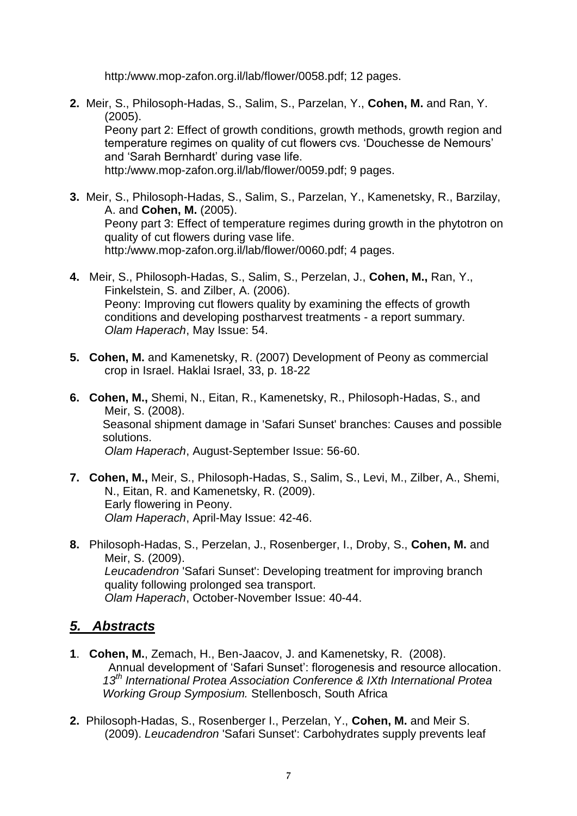http:/www.mop-zafon.org.il/lab/flower/0058.pdf; 12 pages.

**2.** Meir, S., Philosoph-Hadas, S., Salim, S., Parzelan, Y., **Cohen, M.** and Ran, Y. (2005).

Peony part 2: Effect of growth conditions, growth methods, growth region and temperature regimes on quality of cut flowers cvs. 'Douchesse de Nemours' and 'Sarah Bernhardt' during vase life.

http:/www.mop-zafon.org.il/lab/flower/0059.pdf; 9 pages.

- **3.** Meir, S., Philosoph-Hadas, S., Salim, S., Parzelan, Y., Kamenetsky, R., Barzilay, A. and **Cohen, M.** (2005). Peony part 3: Effect of temperature regimes during growth in the phytotron on quality of cut flowers during vase life. http:/www.mop-zafon.org.il/lab/flower/0060.pdf; 4 pages.
- **4.** Meir, S., Philosoph-Hadas, S., Salim, S., Perzelan, J., **Cohen, M.,** Ran, Y., Finkelstein, S. and Zilber, A. (2006). Peony: Improving cut flowers quality by examining the effects of growth conditions and developing postharvest treatments - a report summary. *Olam Haperach*, May Issue: 54.
- **5. Cohen, M.** and Kamenetsky, R. (2007) Development of Peony as commercial crop in Israel. Haklai Israel, 33, p. 18-22
- **6. Cohen, M.,** Shemi, N., Eitan, R., Kamenetsky, R., Philosoph-Hadas, S., and Meir, S. (2008). Seasonal shipment damage in 'Safari Sunset' branches: Causes and possible solutions. *Olam Haperach*, August-September Issue: 56-60.
- **7. Cohen, M.,** Meir, S., Philosoph-Hadas, S., Salim, S., Levi, M., Zilber, A., Shemi, N., Eitan, R. and Kamenetsky, R. (2009). Early flowering in Peony. *Olam Haperach*, April-May Issue: 42-46.
- **8.** Philosoph-Hadas, S., Perzelan, J., Rosenberger, I., Droby, S., **Cohen, M.** and Meir, S. (2009). *Leucadendron* 'Safari Sunset': Developing treatment for improving branch quality following prolonged sea transport. *Olam Haperach*, October-November Issue: 40-44.

# *5. Abstracts*

- **1**. **Cohen, M.**, Zemach, H., Ben-Jaacov, J. and Kamenetsky, R. (2008). Annual development of 'Safari Sunset': florogenesis and resource allocation. *13th International Protea Association Conference & IXth International Protea Working Group Symposium.* Stellenbosch, South Africa
- **2.** Philosoph-Hadas, S., Rosenberger I., Perzelan, Y., **Cohen, M.** and Meir S. (2009). *Leucadendron* 'Safari Sunset': Carbohydrates supply prevents leaf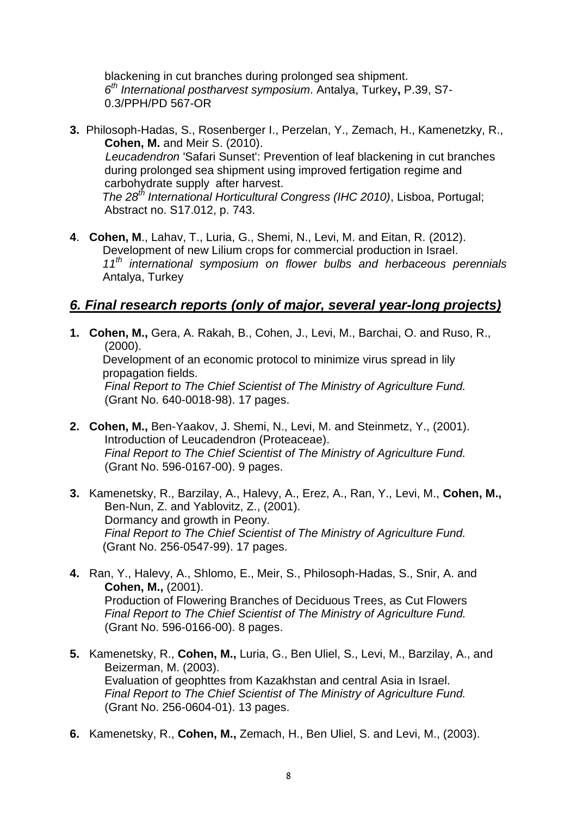blackening in cut branches during prolonged sea shipment. *6 th International postharvest symposium*. Antalya, Turkey**,** P.39, S7- 0.3/PPH/PD 567-OR

- **3.** Philosoph-Hadas, S., Rosenberger I., Perzelan, Y., Zemach, H., Kamenetzky, R., **Cohen, M.** and Meir S. (2010).  *Leucadendron* 'Safari Sunset': Prevention of leaf blackening in cut branches during prolonged sea shipment using improved fertigation regime and carbohydrate supply after harvest. *The 28th International Horticultural Congress (IHC 2010)*, Lisboa, Portugal; Abstract no. S17.012, p. 743.
- **4**. **Cohen, M**., Lahav, T., Luria, G., Shemi, N., Levi, M. and Eitan, R. (2012). Development of new Lilium crops for commercial production in Israel. *11th international symposium on flower bulbs and herbaceous perennials* Antalya, Turkey

# *6. Final research reports (only of major, several year-long projects)*

**1. Cohen, M.,** Gera, A. Rakah, B., Cohen, J., Levi, M., Barchai, O. and Ruso, R., (2000).

Development of an economic protocol to minimize virus spread in lily propagation fields.

*Final Report to The Chief Scientist of The Ministry of Agriculture Fund.* (Grant No. 640-0018-98). 17 pages.

- **2. Cohen, M.,** Ben-Yaakov, J. Shemi, N., Levi, M. and Steinmetz, Y., (2001). Introduction of Leucadendron (Proteaceae). *Final Report to The Chief Scientist of The Ministry of Agriculture Fund.* (Grant No. 596-0167-00). 9 pages.
- **3.** Kamenetsky, R., Barzilay, A., Halevy, A., Erez, A., Ran, Y., Levi, M., **Cohen, M.,** Ben-Nun, Z. and Yablovitz, Z., (2001). Dormancy and growth in Peony. *Final Report to The Chief Scientist of The Ministry of Agriculture Fund.* (Grant No. 256-0547-99). 17 pages.
- **4.** Ran, Y., Halevy, A., Shlomo, E., Meir, S., Philosoph-Hadas, S., Snir, A. and **Cohen, M.,** (2001). Production of Flowering Branches of Deciduous Trees, as Cut Flowers *Final Report to The Chief Scientist of The Ministry of Agriculture Fund.* (Grant No. 596-0166-00). 8 pages.
- **5.** Kamenetsky, R., **Cohen, M.,** Luria, G., Ben Uliel, S., Levi, M., Barzilay, A., and Beizerman, M. (2003). Evaluation of geophttes from Kazakhstan and central Asia in Israel. *Final Report to The Chief Scientist of The Ministry of Agriculture Fund.* (Grant No. 256-0604-01). 13 pages.
- **6.** Kamenetsky, R., **Cohen, M.,** Zemach, H., Ben Uliel, S. and Levi, M., (2003).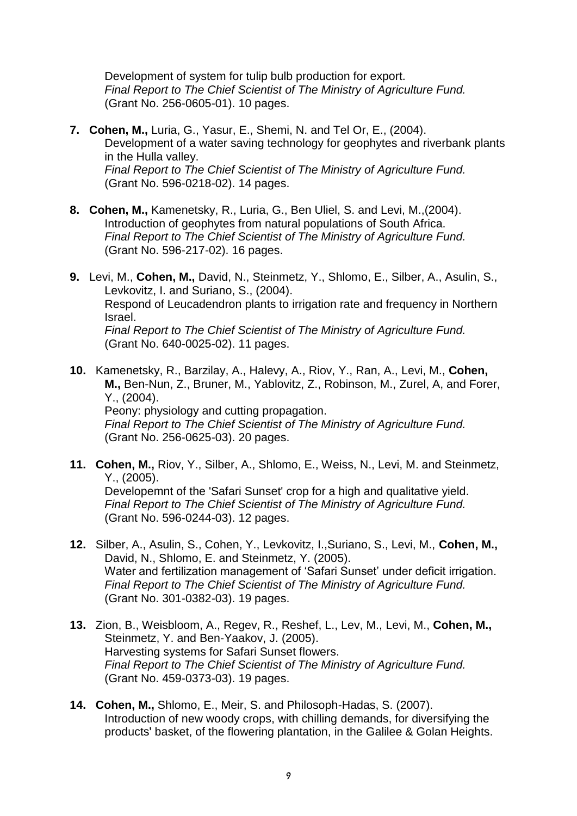Development of system for tulip bulb production for export. *Final Report to The Chief Scientist of The Ministry of Agriculture Fund.* (Grant No. 256-0605-01). 10 pages.

- **7. Cohen, M.,** Luria, G., Yasur, E., Shemi, N. and Tel Or, E., (2004). Development of a water saving technology for geophytes and riverbank plants in the Hulla valley. *Final Report to The Chief Scientist of The Ministry of Agriculture Fund.* (Grant No. 596-0218-02). 14 pages.
- **8. Cohen, M.,** Kamenetsky, R., Luria, G., Ben Uliel, S. and Levi, M.,(2004). Introduction of geophytes from natural populations of South Africa. *Final Report to The Chief Scientist of The Ministry of Agriculture Fund.* (Grant No. 596-217-02). 16 pages.
- **9.** Levi, M., **Cohen, M.,** David, N., Steinmetz, Y., Shlomo, E., Silber, A., Asulin, S., Levkovitz, I. and Suriano, S., (2004). Respond of Leucadendron plants to irrigation rate and frequency in Northern Israel. *Final Report to The Chief Scientist of The Ministry of Agriculture Fund.* (Grant No. 640-0025-02). 11 pages.
- **10.** Kamenetsky, R., Barzilay, A., Halevy, A., Riov, Y., Ran, A., Levi, M., **Cohen, M.,** Ben-Nun, Z., Bruner, M., Yablovitz, Z., Robinson, M., Zurel, A, and Forer, Y., (2004). Peony: physiology and cutting propagation. *Final Report to The Chief Scientist of The Ministry of Agriculture Fund.* (Grant No. 256-0625-03). 20 pages.
- **11. Cohen, M.,** Riov, Y., Silber, A., Shlomo, E., Weiss, N., Levi, M. and Steinmetz, Y., (2005). Developemnt of the 'Safari Sunset' crop for a high and qualitative yield. *Final Report to The Chief Scientist of The Ministry of Agriculture Fund.* (Grant No. 596-0244-03). 12 pages.
- **12.** Silber, A., Asulin, S., Cohen, Y., Levkovitz, I.,Suriano, S., Levi, M., **Cohen, M.,** David, N., Shlomo, E. and Steinmetz, Y. (2005). Water and fertilization management of 'Safari Sunset' under deficit irrigation. *Final Report to The Chief Scientist of The Ministry of Agriculture Fund.* (Grant No. 301-0382-03). 19 pages.
- **13.** Zion, B., Weisbloom, A., Regev, R., Reshef, L., Lev, M., Levi, M., **Cohen, M.,** Steinmetz, Y. and Ben-Yaakov, J. (2005). Harvesting systems for Safari Sunset flowers. *Final Report to The Chief Scientist of The Ministry of Agriculture Fund.* (Grant No. 459-0373-03). 19 pages.
- **14. Cohen, M.,** Shlomo, E., Meir, S. and Philosoph-Hadas, S. (2007). Introduction of new woody crops, with chilling demands, for diversifying the products' basket, of the flowering plantation, in the Galilee & Golan Heights.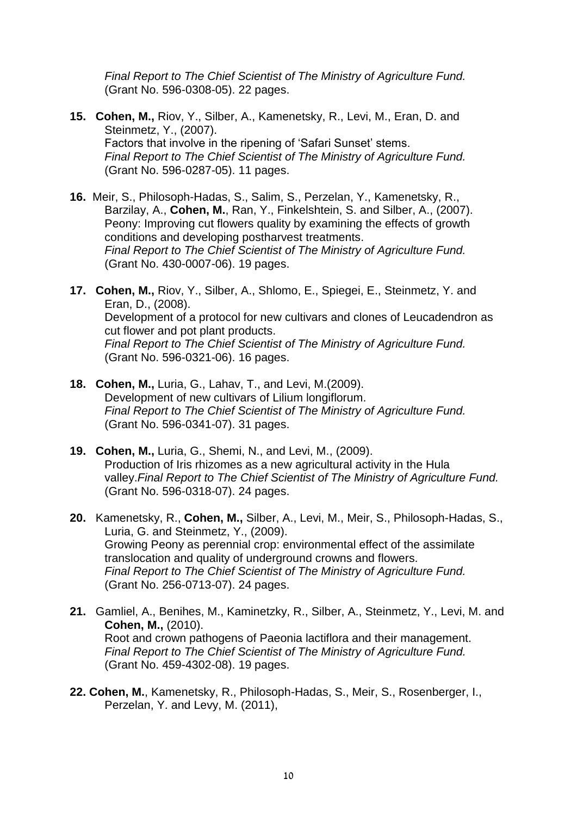*Final Report to The Chief Scientist of The Ministry of Agriculture Fund.* (Grant No. 596-0308-05). 22 pages.

- **15. Cohen, M.,** Riov, Y., Silber, A., Kamenetsky, R., Levi, M., Eran, D. and Steinmetz, Y., (2007). Factors that involve in the ripening of 'Safari Sunset' stems. *Final Report to The Chief Scientist of The Ministry of Agriculture Fund.* (Grant No. 596-0287-05). 11 pages.
- **16.** Meir, S., Philosoph-Hadas, S., Salim, S., Perzelan, Y., Kamenetsky, R., Barzilay, A., **Cohen, M.**, Ran, Y., Finkelshtein, S. and Silber, A., (2007). Peony: Improving cut flowers quality by examining the effects of growth conditions and developing postharvest treatments. *Final Report to The Chief Scientist of The Ministry of Agriculture Fund.* (Grant No. 430-0007-06). 19 pages.
- **17. Cohen, M.,** Riov, Y., Silber, A., Shlomo, E., Spiegei, E., Steinmetz, Y. and Eran, D., (2008). Development of a protocol for new cultivars and clones of Leucadendron as cut flower and pot plant products. *Final Report to The Chief Scientist of The Ministry of Agriculture Fund.* (Grant No. 596-0321-06). 16 pages.
- **18. Cohen, M.,** Luria, G., Lahav, T., and Levi, M.(2009). Development of new cultivars of Lilium longiflorum. *Final Report to The Chief Scientist of The Ministry of Agriculture Fund.* (Grant No. 596-0341-07). 31 pages.
- **19. Cohen, M.,** Luria, G., Shemi, N., and Levi, M., (2009). Production of Iris rhizomes as a new agricultural activity in the Hula valley.*Final Report to The Chief Scientist of The Ministry of Agriculture Fund.* (Grant No. 596-0318-07). 24 pages.
- **20.** Kamenetsky, R., **Cohen, M.,** Silber, A., Levi, M., Meir, S., Philosoph-Hadas, S., Luria, G. and Steinmetz, Y., (2009). Growing Peony as perennial crop: environmental effect of the assimilate translocation and quality of underground crowns and flowers. *Final Report to The Chief Scientist of The Ministry of Agriculture Fund.* (Grant No. 256-0713-07). 24 pages.
- **21.** Gamliel, A., Benihes, M., Kaminetzky, R., Silber, A., Steinmetz, Y., Levi, M. and **Cohen, M.,** (2010). Root and crown pathogens of Paeonia lactiflora and their management. *Final Report to The Chief Scientist of The Ministry of Agriculture Fund.* (Grant No. 459-4302-08). 19 pages.
- **22. Cohen, M.**, Kamenetsky, R., Philosoph-Hadas, S., Meir, S., Rosenberger, I., Perzelan, Y. and Levy, M. (2011),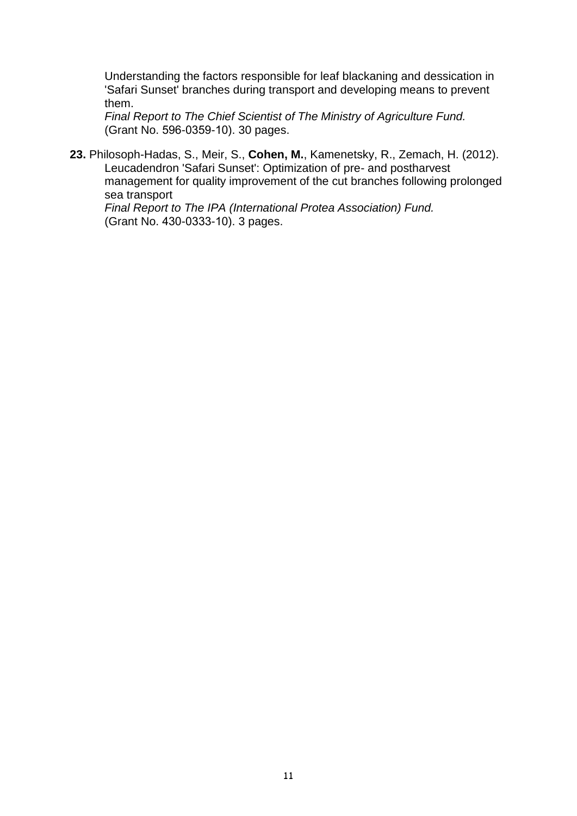Understanding the factors responsible for leaf blackaning and dessication in 'Safari Sunset' branches during transport and developing means to prevent them.

*Final Report to The Chief Scientist of The Ministry of Agriculture Fund.* (Grant No. 596-0359-10). 30 pages.

**23.** Philosoph-Hadas, S., Meir, S., **Cohen, M.**, Kamenetsky, R., Zemach, H. (2012). Leucadendron 'Safari Sunset': Optimization of pre- and postharvest management for quality improvement of the cut branches following prolonged sea transport

*Final Report to The IPA (International Protea Association) Fund.* (Grant No. 430-0333-10). 3 pages.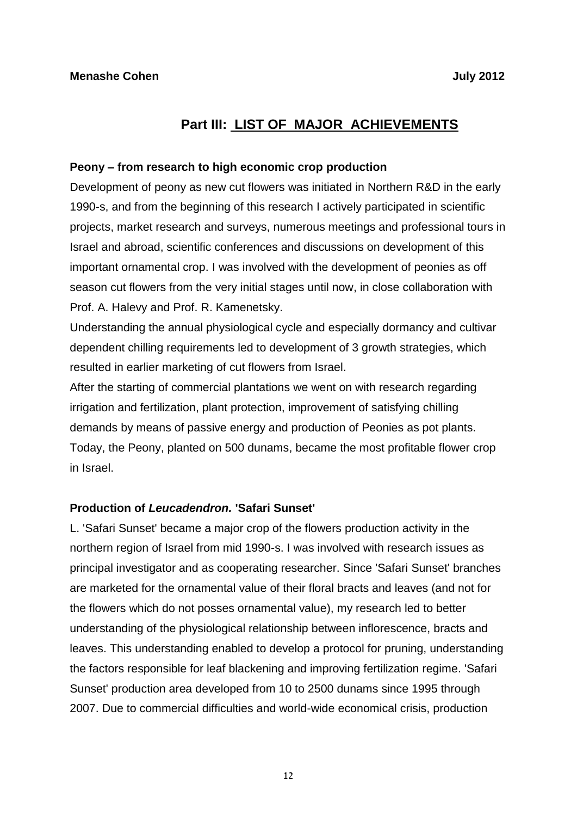# **Part III: LIST OF MAJOR ACHIEVEMENTS**

#### **Peony – from research to high economic crop production**

Development of peony as new cut flowers was initiated in Northern R&D in the early 1990-s, and from the beginning of this research I actively participated in scientific projects, market research and surveys, numerous meetings and professional tours in Israel and abroad, scientific conferences and discussions on development of this important ornamental crop. I was involved with the development of peonies as off season cut flowers from the very initial stages until now, in close collaboration with Prof. A. Halevy and Prof. R. Kamenetsky.

Understanding the annual physiological cycle and especially dormancy and cultivar dependent chilling requirements led to development of 3 growth strategies, which resulted in earlier marketing of cut flowers from Israel.

After the starting of commercial plantations we went on with research regarding irrigation and fertilization, plant protection, improvement of satisfying chilling demands by means of passive energy and production of Peonies as pot plants. Today, the Peony, planted on 500 dunams, became the most profitable flower crop in Israel.

#### **Production of** *Leucadendron.* **'Safari Sunset'**

L. 'Safari Sunset' became a major crop of the flowers production activity in the northern region of Israel from mid 1990-s. I was involved with research issues as principal investigator and as cooperating researcher. Since 'Safari Sunset' branches are marketed for the ornamental value of their floral bracts and leaves (and not for the flowers which do not posses ornamental value), my research led to better understanding of the physiological relationship between inflorescence, bracts and leaves. This understanding enabled to develop a protocol for pruning, understanding the factors responsible for leaf blackening and improving fertilization regime. 'Safari Sunset' production area developed from 10 to 2500 dunams since 1995 through 2007. Due to commercial difficulties and world-wide economical crisis, production